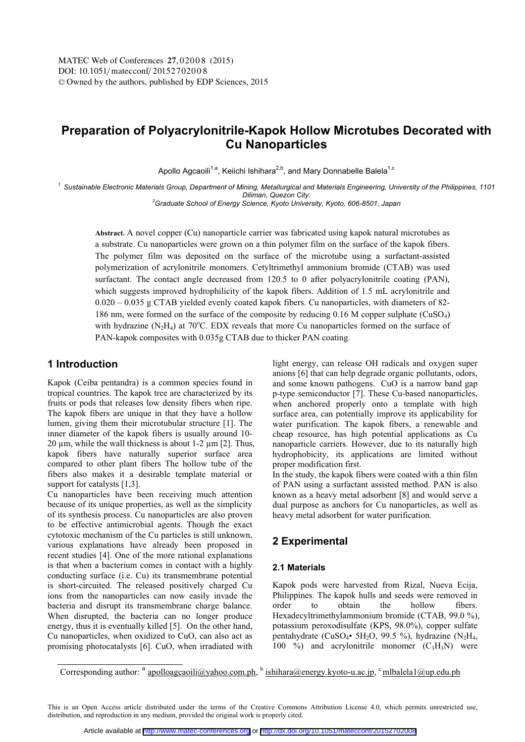# **Preparation of Polyacrylonitrile-Kapok Hollow Microtubes Decorated with Cu Nanoparticles**

Apollo Agcaoili<sup>1,a</sup>, Keiichi Ishihara<sup>2,b</sup>, and Mary Donnabelle Balela<sup>1,c</sup>

*<sup>1</sup> Sustainable Electronic Materials Group, Department of Mining, Metallurgical and Materials Engineering, University of the Philippines, 1101 Diliman, Quezon City. 2 Graduate School of Energy Science, Kyoto University, Kyoto, 606-8501, Japan* 

**Abstract.** A novel copper (Cu) nanoparticle carrier was fabricated using kapok natural microtubes as a substrate. Cu nanoparticles were grown on a thin polymer film on the surface of the kapok fibers. The polymer film was deposited on the surface of the microtube using a surfactant-assisted polymerization of acrylonitrile monomers. Cetyltrimethyl ammonium bromide (CTAB) was used surfactant. The contact angle decreased from 120.5 to 0 after polyacrylonitrile coating (PAN), which suggests improved hydrophilicity of the kapok fibers. Addition of 1.5 mL acrylonitrile and 0.020 – 0.035 g CTAB yielded evenly coated kapok fibers. Cu nanoparticles, with diameters of 82- 186 nm, were formed on the surface of the composite by reducing 0.16 M copper sulphate ( $CuSO<sub>4</sub>$ ) with hydrazine  $(N_2H_4)$  at 70°C. EDX reveals that more Cu nanoparticles formed on the surface of PAN-kapok composites with 0.035g CTAB due to thicker PAN coating.

### **1 Introduction**

Kapok (Ceiba pentandra) is a common species found in tropical countries. The kapok tree are characterized by its fruits or pods that releases low density fibers when ripe. The kapok fibers are unique in that they have a hollow lumen, giving them their microtubular structure [1]. The inner diameter of the kapok fibers is usually around 10- 20  $\mu$ m, while the wall thickness is about 1-2  $\mu$ m [2]. Thus, kapok fibers have naturally superior surface area compared to other plant fibers The hollow tube of the fibers also makes it a desirable template material or support for catalysts [1,3].

Cu nanoparticles have been receiving much attention because of its unique properties, as well as the simplicity of its synthesis process. Cu nanoparticles are also proven to be effective antimicrobial agents. Though the exact cytotoxic mechanism of the Cu particles is still unknown, various explanations have already been proposed in recent studies [4]. One of the more rational explanations is that when a bacterium comes in contact with a highly conducting surface (i.e. Cu) its transmembrane potential is short-circuited. The released positively charged Cu ions from the nanoparticles can now easily invade the bacteria and disrupt its transmembrane charge balance. When disrupted, the bacteria can no longer produce energy, thus it is eventually killed [5]. On the other hand, Cu nanoparticles, when oxidized to CuO, can also act as promising photocatalysts [6]. CuO, when irradiated with

light energy, can release OH radicals and oxygen super anions [6] that can help degrade organic pollutants, odors, and some known pathogens. CuO is a narrow band gap p-type semiconductor [7]. These Cu-based nanoparticles, when anchored properly onto a template with high surface area, can potentially improve its applicability for water purification. The kapok fibers, a renewable and cheap resource, has high potential applications as Cu nanoparticle carriers. However, due to its naturally high hydrophobicity, its applications are limited without proper modification first.

In the study, the kapok fibers were coated with a thin film of PAN using a surfactant assisted method. PAN is also known as a heavy metal adsorbent [8] and would serve a dual purpose as anchors for Cu nanoparticles, as well as heavy metal adsorbent for water purification.

### **2 Experimental**

#### **2.1 Materials**

Kapok pods were harvested from Rizal, Nueva Ecija, Philippines. The kapok hulls and seeds were removed in order to obtain the hollow fibers. Hexadecyltrimethylammonium bromide (CTAB, 99.0 %), potassium peroxodisulfate (KPS, 98.0%), copper sulfate pentahydrate (CuSO<sub>4</sub>• 5H<sub>2</sub>O, 99.5 %), hydrazine (N<sub>2</sub>H<sub>4</sub>, 100 %) and acrylonitrile monomer  $(C_3H_3N)$  were

Corresponding author:  $a^a$  apolloagcaoili@yahoo.com.ph,  $b^b$  ishihara@energy.kyoto-u.ac.jp,  $c^c$ mlbalela1@up.edu.ph

This is an Open Access article distributed under the terms of the Creative Commons Attribution License 4.0, which permits unrestricted use, distribution, and reproduction in any medium, provided the original work is properly cited.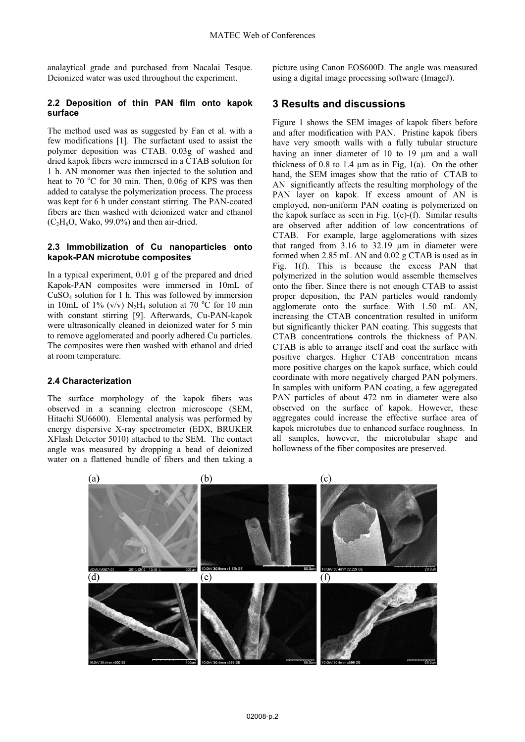analaytical grade and purchased from Nacalai Tesque. Deionized water was used throughout the experiment.

#### **2.2 Deposition of thin PAN film onto kapok surface**

The method used was as suggested by Fan et al. with a few modifications [1]. The surfactant used to assist the polymer deposition was CTAB. 0.03g of washed and dried kapok fibers were immersed in a CTAB solution for 1 h. AN monomer was then injected to the solution and heat to 70 °C for 30 min. Then, 0.06g of KPS was then added to catalyse the polymerization process. The process was kept for 6 h under constant stirring. The PAN-coated fibers are then washed with deionized water and ethanol  $(C_2H_6O, Wako, 99.0\%)$  and then air-dried.

#### **2.3 Immobilization of Cu nanoparticles onto kapok-PAN microtube composites**

In a typical experiment, 0.01 g of the prepared and dried Kapok-PAN composites were immersed in 10mL of CuSO4 solution for 1 h. This was followed by immersion in 10mL of 1% (v/v)  $N_2H_4$  solution at 70 °C for 10 min with constant stirring [9]. Afterwards, Cu-PAN-kapok were ultrasonically cleaned in deionized water for 5 min to remove agglomerated and poorly adhered Cu particles. The composites were then washed with ethanol and dried at room temperature.

#### **2.4 Characterization**

The surface morphology of the kapok fibers was observed in a scanning electron microscope (SEM, Hitachi SU6600). Elemental analysis was performed by energy dispersive X-ray spectrometer (EDX, BRUKER XFlash Detector 5010) attached to the SEM. The contact angle was measured by dropping a bead of deionized water on a flattened bundle of fibers and then taking a

picture using Canon EOS600D. The angle was measured using a digital image processing software (ImageJ).

### **3 Results and discussions**

Figure 1 shows the SEM images of kapok fibers before and after modification with PAN. Pristine kapok fibers have very smooth walls with a fully tubular structure having an inner diameter of 10 to 19  $\mu$ m and a wall thickness of 0.8 to 1.4  $\mu$ m as in Fig, 1(a). On the other hand, the SEM images show that the ratio of CTAB to AN significantly affects the resulting morphology of the PAN layer on kapok. If excess amount of AN is employed, non-uniform PAN coating is polymerized on the kapok surface as seen in Fig. 1(e)-(f). Similar results are observed after addition of low concentrations of CTAB. For example, large agglomerations with sizes that ranged from 3.16 to 32.19 µm in diameter were formed when 2.85 mL AN and 0.02 g CTAB is used as in Fig. 1(f). This is because the excess PAN that polymerized in the solution would assemble themselves onto the fiber. Since there is not enough CTAB to assist proper deposition, the PAN particles would randomly agglomerate onto the surface. With 1.50 mL AN, increasing the CTAB concentration resulted in uniform but significantly thicker PAN coating. This suggests that CTAB concentrations controls the thickness of PAN. CTAB is able to arrange itself and coat the surface with positive charges. Higher CTAB concentration means more positive charges on the kapok surface, which could coordinate with more negatively charged PAN polymers. In samples with uniform PAN coating, a few aggregated PAN particles of about 472 nm in diameter were also observed on the surface of kapok. However, these aggregates could increase the effective surface area of kapok microtubes due to enhanced surface roughness. In all samples, however, the microtubular shape and hollowness of the fiber composites are preserved.

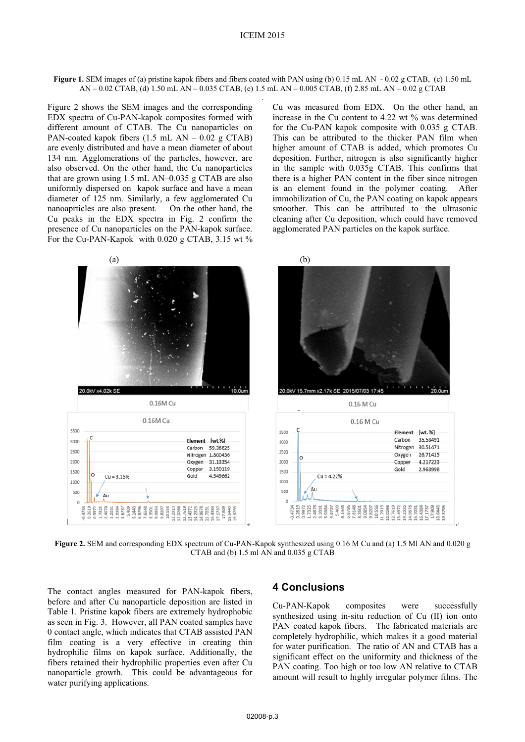**Figure 1.** SEM images of (a) pristine kapok fibers and fibers coated with PAN using (b) 0.15 mL AN - 0.02 g CTAB, (c) 1.50 mL AN – 0.02 CTAB, (d) 1.50 mL AN – 0.035 CTAB, (e) 1.5 mL AN – 0.005 CTAB, (f) 2.85 mL AN – 0.02 g CTAB .

Figure 2 shows the SEM images and the corresponding EDX spectra of Cu-PAN-kapok composites formed with different amount of CTAB. The Cu nanoparticles on PAN-coated kapok fibers  $(1.5 \text{ mL AN} - 0.02 \text{ g CTAB})$ are evenly distributed and have a mean diameter of about 134 nm. Agglomerations of the particles, however, are also observed. On the other hand, the Cu nanoparticles that are grown using 1.5 mL AN–0.035 g CTAB are also uniformly dispersed on kapok surface and have a mean diameter of 125 nm. Similarly, a few agglomerated Cu nanoaprticles are also present. On the other hand, the Cu peaks in the EDX spectra in Fig. 2 confirm the presence of Cu nanoparticles on the PAN-kapok surface. For the Cu-PAN-Kapok with 0.020 g CTAB, 3.15 wt % Cu was measured from EDX. On the other hand, an increase in the Cu content to 4.22 wt % was determined for the Cu-PAN kapok composite with 0.035 g CTAB. This can be attributed to the thicker PAN film when higher amount of CTAB is added, which promotes Cu deposition. Further, nitrogen is also significantly higher in the sample with 0.035g CTAB. This confirms that there is a higher PAN content in the fiber since nitrogen is an element found in the polymer coating. After immobilization of Cu, the PAN coating on kapok appears smoother. This can be attributed to the ultrasonic cleaning after Cu deposition, which could have removed agglomerated PAN particles on the kapok surface.



**Figure 2.** SEM and corresponding EDX spectrum of Cu-PAN-Kapok synthesized using 0.16 M Cu and (a) 1.5 Ml AN and 0.020 g CTAB and (b) 1.5 ml AN and 0.035 g CTAB

The contact angles measured for PAN-kapok fibers, before and after Cu nanoparticle deposition are listed in Table 1. Pristine kapok fibers are extremely hydrophobic as seen in Fig. 3. However, all PAN coated samples have 0 contact angle, which indicates that CTAB assisted PAN film coating is a very effective in creating thin hydrophilic films on kapok surface. Additionally, the fibers retained their hydrophilic properties even after Cu nanoparticle growth. This could be advantageous for water purifying applications.

### **4 Conclusions**

Cu-PAN-Kapok composites were successfully synthesized using in-situ reduction of Cu (II) ion onto PAN coated kapok fibers. The fabricated materials are completely hydrophilic, which makes it a good material for water purification. The ratio of AN and CTAB has a significant effect on the uniformity and thickness of the PAN coating. Too high or too low AN relative to CTAB amount will result to highly irregular polymer films. The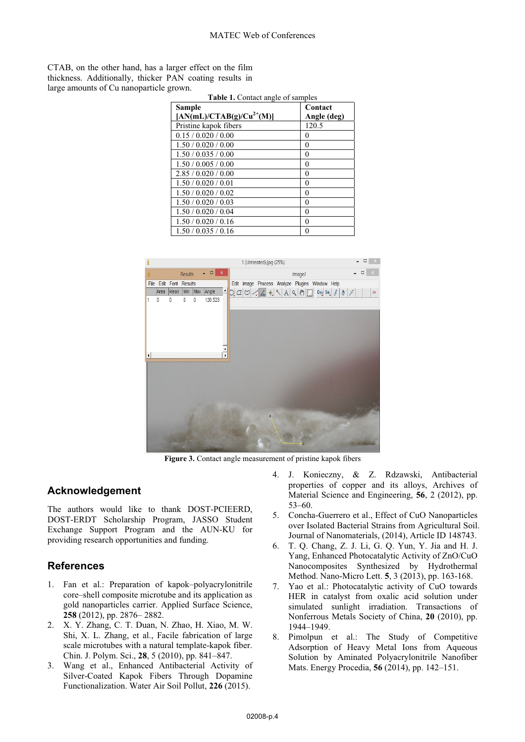CTAB, on the other hand, has a larger effect on the film thickness. Additionally, thicker PAN coating results in large amounts of Cu nanoparticle grown.

| <b>Table 1.</b> Contact angle of samples |              |
|------------------------------------------|--------------|
| Sample                                   | Contact      |
| $[AN(mL)/CTAB(g)/Cu^{2+}(M)]$            | Angle (deg)  |
| Pristine kapok fibers                    | 120.5        |
| 0.15 / 0.020 / 0.00                      | 0            |
| 1.50 / 0.020 / 0.00                      | 0            |
| 1.50 / 0.035 / 0.00                      | 0            |
| 1.50 / 0.005 / 0.00                      | 0            |
| 2.85/0.020/0.00                          | 0            |
| 1.50 / 0.020 / 0.01                      | 0            |
| 1.50 / 0.020 / 0.02                      | 0            |
| 1.50 / 0.020 / 0.03                      | 0            |
| 1.50 / 0.020 / 0.04                      | 0            |
| 1.50 / 0.020 / 0.16                      | 0            |
| 1.50 / 0.035 / 0.16                      | $\mathbf{0}$ |



**Figure 3.** Contact angle measurement of pristine kapok fibers

## **Acknowledgement**

The authors would like to thank DOST-PCIEERD, DOST-ERDT Scholarship Program, JASSO Student Exchange Support Program and the AUN-KU for providing research opportunities and funding.

## **References**

- 1. Fan et al.: Preparation of kapok–polyacrylonitrile core–shell composite microtube and its application as gold nanoparticles carrier. Applied Surface Science, **258** (2012), pp. 2876– 2882.
- 2. X. Y. Zhang, C. T. Duan, N. Zhao, H. Xiao, M. W. Shi, X. L. Zhang, et al., Facile fabrication of large scale microtubes with a natural template-kapok fiber. Chin. J. Polym. Sci., **28**, 5 (2010), pp. 841–847.
- 3. Wang et al., Enhanced Antibacterial Activity of Silver-Coated Kapok Fibers Through Dopamine Functionalization. Water Air Soil Pollut, **226** (2015).
- 4. J. Konieczny, & Z. Rdzawski, Antibacterial properties of copper and its alloys, Archives of Material Science and Engineering, **56**, 2 (2012), pp. 53–60.
- 5. Concha-Guerrero et al., Effect of CuO Nanoparticles over Isolated Bacterial Strains from Agricultural Soil. Journal of Nanomaterials, (2014), Article ID 148743.
- 6. T. Q. Chang, Z. J. Li, G. Q. Yun, Y. Jia and H. J. Yang, Enhanced Photocatalytic Activity of ZnO/CuO Nanocomposites Synthesized by Hydrothermal Method. Nano-Micro Lett. **5**, 3 (2013), pp. 163-168.
- 7. Yao et al.: Photocatalytic activity of CuO towards HER in catalyst from oxalic acid solution under simulated sunlight irradiation. Transactions of Nonferrous Metals Society of China, **20** (2010), pp. 1944–1949.
- 8. Pimolpun et al.: The Study of Competitive Adsorption of Heavy Metal Ions from Aqueous Solution by Aminated Polyacrylonitrile Nanofiber Mats. Energy Procedia, **56** (2014), pp. 142–151.